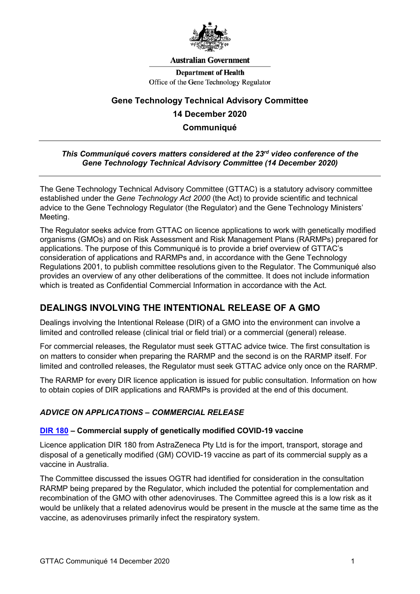

#### **Australian Government**

**Department of Health** Office of the Gene Technology Regulator

# **Gene Technology Technical Advisory Committee 14 December 2020 Communiqué**

#### *This Communiqué covers matters considered at the 23rd video conference of the Gene Technology Technical Advisory Committee (14 December 2020)*

The Gene Technology Technical Advisory Committee (GTTAC) is a statutory advisory committee established under the *Gene Technology Act 2000* (the Act) to provide scientific and technical advice to the Gene Technology Regulator (the Regulator) and the Gene Technology Ministers' Meeting.

The Regulator seeks advice from GTTAC on licence applications to work with genetically modified organisms (GMOs) and on Risk Assessment and Risk Management Plans (RARMPs) prepared for applications. The purpose of this Communiqué is to provide a brief overview of GTTAC's consideration of applications and RARMPs and, in accordance with the Gene Technology Regulations 2001, to publish committee resolutions given to the Regulator. The Communiqué also provides an overview of any other deliberations of the committee. It does not include information which is treated as Confidential Commercial Information in accordance with the Act.

# **DEALINGS INVOLVING THE INTENTIONAL RELEASE OF A GMO**

Dealings involving the Intentional Release (DIR) of a GMO into the environment can involve a limited and controlled release (clinical trial or field trial) or a commercial (general) release.

For commercial releases, the Regulator must seek GTTAC advice twice. The first consultation is on matters to consider when preparing the RARMP and the second is on the RARMP itself. For limited and controlled releases, the Regulator must seek GTTAC advice only once on the RARMP.

The RARMP for every DIR licence application is issued for public consultation. Information on how to obtain copies of DIR applications and RARMPs is provided at the end of this document.

## *ADVICE ON APPLICATIONS – COMMERCIAL RELEASE*

#### **[DIR 180](http://www.ogtr.gov.au/internet/ogtr/publishing.nsf/Content/dir180) – Commercial supply of genetically modified COVID-19 vaccine**

Licence application DIR 180 from AstraZeneca Pty Ltd is for the import, transport, storage and disposal of a genetically modified (GM) COVID-19 vaccine as part of its commercial supply as a vaccine in Australia.

The Committee discussed the issues OGTR had identified for consideration in the consultation RARMP being prepared by the Regulator, which included the potential for complementation and recombination of the GMO with other adenoviruses. The Committee agreed this is a low risk as it would be unlikely that a related adenovirus would be present in the muscle at the same time as the vaccine, as adenoviruses primarily infect the respiratory system.